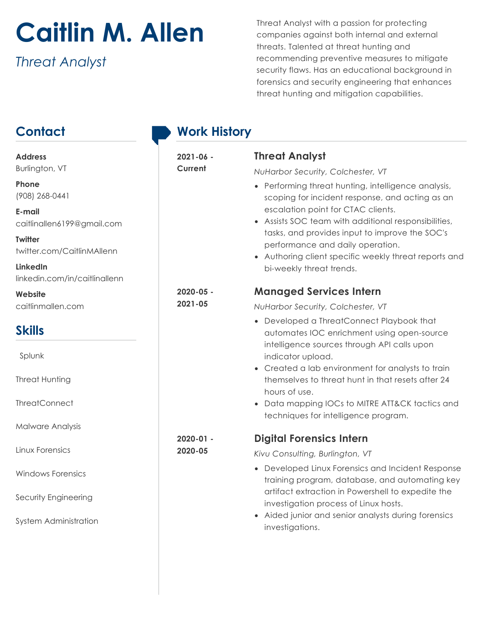## **Caitlin M. Allen**

*Threat Analyst*

Threat Analyst with a passion for protecting companies against both internal and external threats. Talented at threat hunting and recommending preventive measures to mitigate security flaws. Has an educational background in forensics and security engineering that enhances threat hunting and mitigation capabilities.

## **Contact Address**  Burlington, VT **Phone**  (908) 268-0441 **E-mail**  caitlinallen6199@gmail.com **Twitter** twitter.com/CaitlinMAllenn **LinkedIn** linkedin.com/in/caitlinallenn **Website** caitlinmallen.com **Skills** Splunk Threat Hunting ThreatConnect Malware Analysis Linux Forensics Windows Forensics Security Engineering System Administration **Work History 2021-06 - Current Threat Analyst** *NuHarbor Security, Colchester, VT* • Performing threat hunting, intelligence analysis, scoping for incident response, and acting as an escalation point for CTAC clients. • Assists SOC team with additional responsibilities, tasks, and provides input to improve the SOC's performance and daily operation. • Authoring client specific weekly threat reports and bi-weekly threat trends. **2020-05 - 2021-05 Managed Services Intern** *NuHarbor Security, Colchester, VT* • Developed a ThreatConnect Playbook that automates IOC enrichment using open-source intelligence sources through API calls upon indicator upload. • Created a lab environment for analysts to train themselves to threat hunt in that resets after 24 hours of use. • Data mapping IOCs to MITRE ATT&CK tactics and techniques for intelligence program. **2020-01 - 2020-05 Digital Forensics Intern** *Kivu Consulting, Burlington, VT* • Developed Linux Forensics and Incident Response training program, database, and automating key artifact extraction in Powershell to expedite the investigation process of Linux hosts. • Aided junior and senior analysts during forensics investigations.